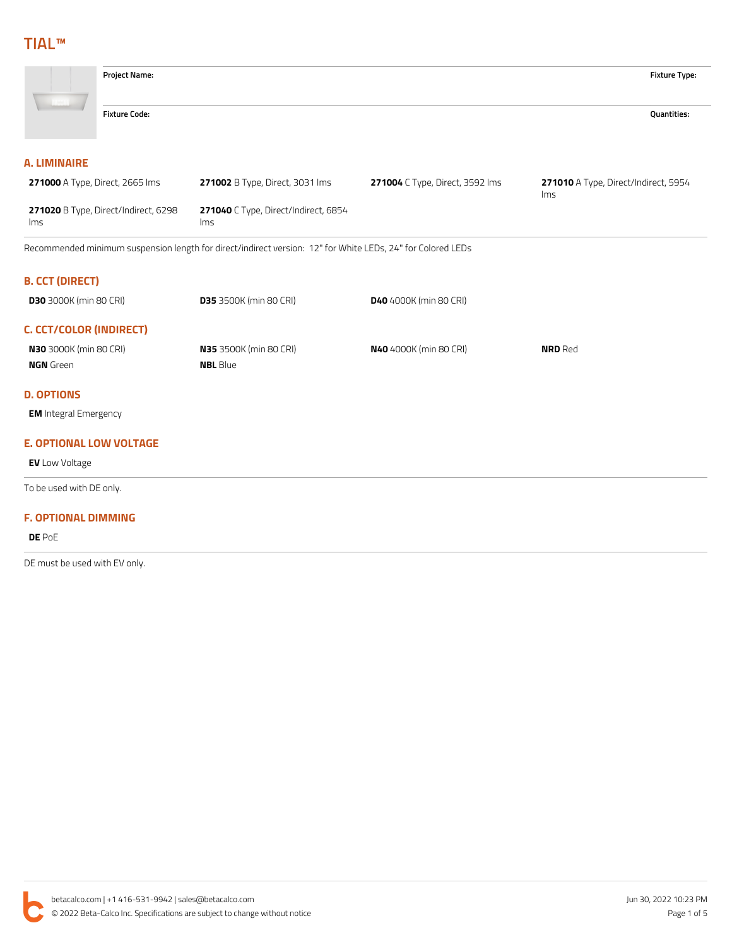

| <b>N30</b> 3000K (min 80 CRI) | <b>N35</b> 3500K (min 80 CRI) | <b>N40</b> 4000K (min 80 CRI) | <b>NRD</b> Red |
|-------------------------------|-------------------------------|-------------------------------|----------------|
| <b>NGN</b> Green              | <b>NBL</b> Blue               |                               |                |
|                               |                               |                               |                |

#### **D. OPTIONS**

**EM** Integral Emergency

## **E. OPTIONAL LOW VOLTAGE**

**EV** Low Voltage

To be used with DE only.

#### **F. OPTIONAL DIMMING**

**DE** PoE

DE must be used with EV only.

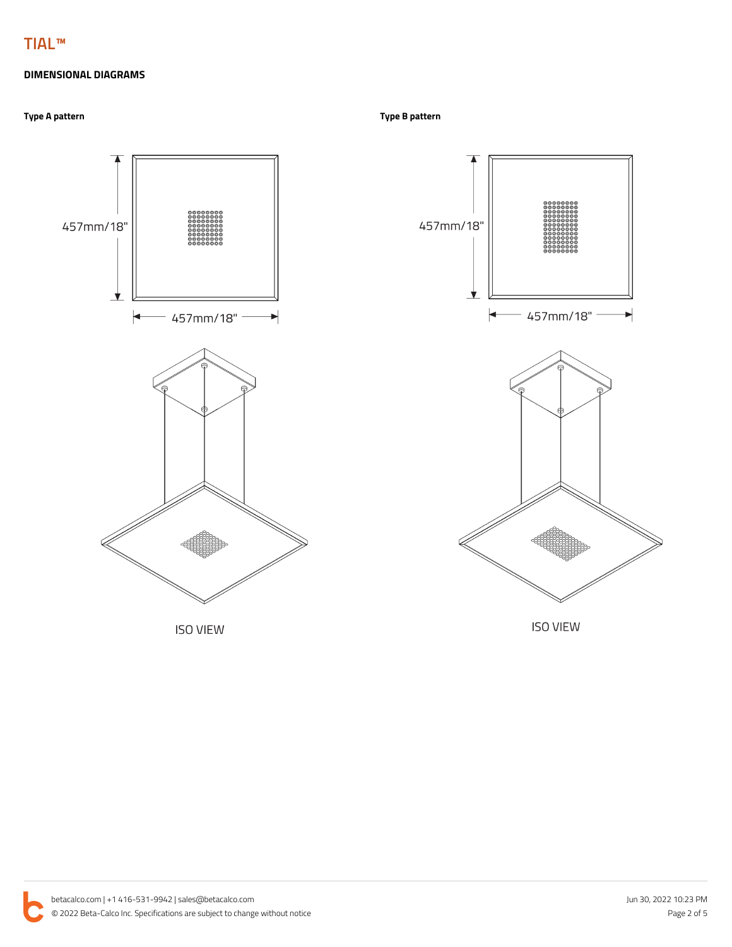## **DIMENSIONAL DIAGRAMS**

## **Type A pattern Type B pattern**





**ISO VIEW**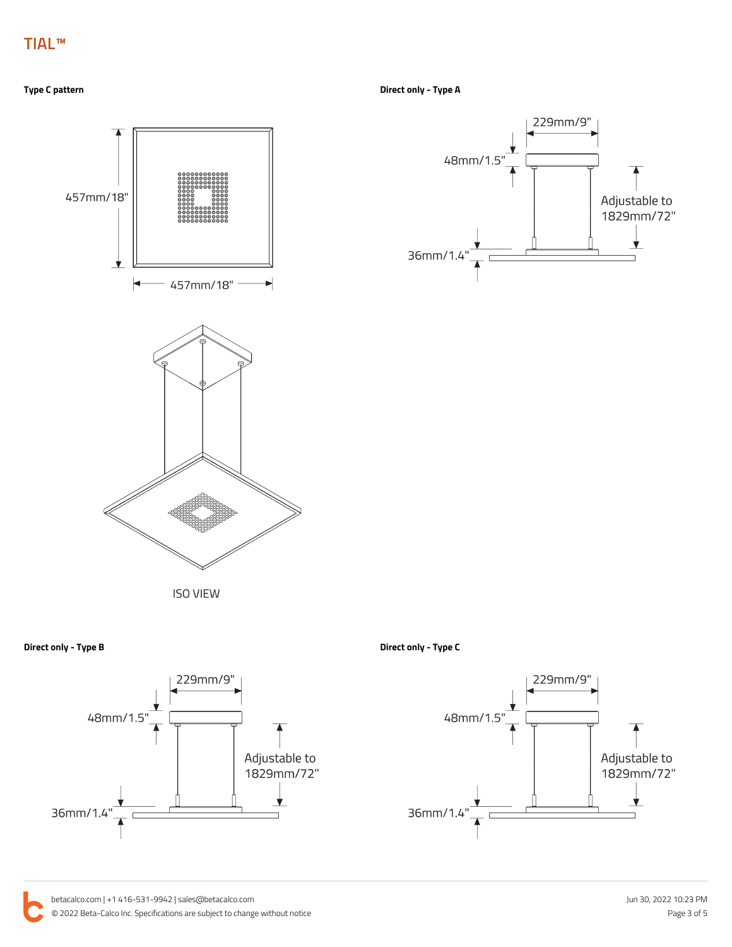**Type C pattern Direct only - Type A**



229mm/9" 48mm/1.5 Adjustable to<br>1829mm/72" ★ 36mm/1.4

**Direct only - Type B Direct only - Type C**



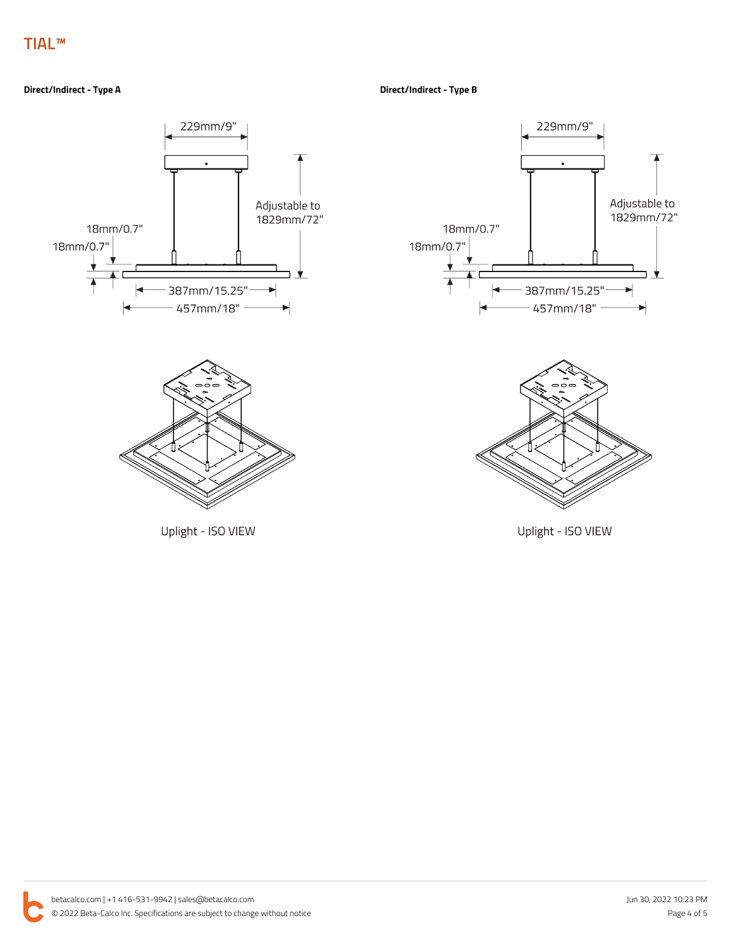#### **Direct/Indirect - Type A Direct/Indirect - Type B**



Uplight - ISO VIEW





Uplight - ISO VIEW